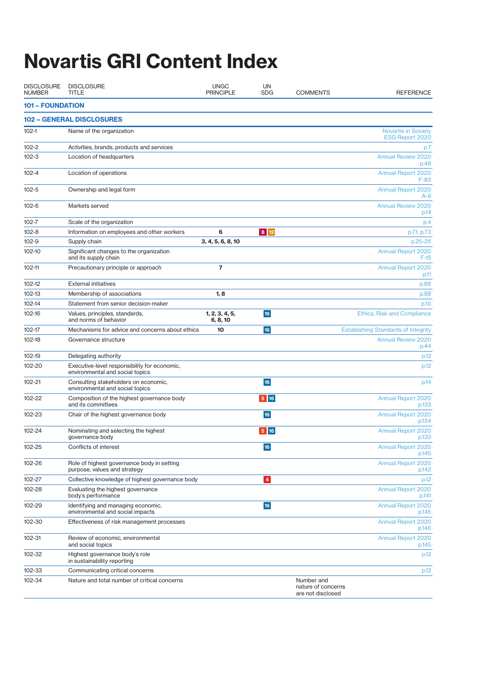## **Novartis GRI Content Index**

| <b>DISCLOSURE</b><br><b>NUMBER</b> | <b>DISCLOSURE</b><br>TITI F                                                     | <b>UNGC</b><br><b>PRINCIPLE</b> | UN<br><b>SDG</b> | <b>COMMENTS</b>                                       | <b>REFERENCE</b>                                     |
|------------------------------------|---------------------------------------------------------------------------------|---------------------------------|------------------|-------------------------------------------------------|------------------------------------------------------|
| <b>101 - FOUNDATION</b>            |                                                                                 |                                 |                  |                                                       |                                                      |
|                                    | <b>102 - GENERAL DISCLOSURES</b>                                                |                                 |                  |                                                       |                                                      |
| $102 - 1$                          | Name of the organization                                                        |                                 |                  |                                                       | <b>Novartis in Society</b><br><b>ESG Report 2020</b> |
| $102 - 2$                          | Activities, brands, products and services                                       |                                 |                  |                                                       | p.7                                                  |
| $102 - 3$                          | Location of headquarters                                                        |                                 |                  |                                                       | <b>Annual Review 2020</b><br>p.48                    |
| $102 - 4$                          | Location of operations                                                          |                                 |                  |                                                       | <b>Annual Report 2020</b><br>$F-83$                  |
| $102 - 5$                          | Ownership and legal form                                                        |                                 |                  |                                                       | <b>Annual Report 2020</b><br>$A-9$                   |
| $102 - 6$                          | Markets served                                                                  |                                 |                  |                                                       | <b>Annual Review 2020</b><br>p.14                    |
| $102 - 7$                          | Scale of the organization                                                       |                                 |                  |                                                       | p.4                                                  |
| $102 - 8$                          | Information on employees and other workers                                      | 6                               | 8 12             |                                                       | p.71, p.73                                           |
| $102 - 9$                          | Supply chain                                                                    | 3, 4, 5, 6, 8, 10               |                  |                                                       | $p.25-26$                                            |
| 102-10                             | Significant changes to the organization<br>and its supply chain                 |                                 |                  |                                                       | <b>Annual Report 2020</b><br>F-15                    |
| 102-11                             | Precautionary principle or approach                                             | $\overline{\mathbf{r}}$         |                  |                                                       | <b>Annual Report 2020</b><br>p.11                    |
| $102 - 12$                         | <b>External initiatives</b>                                                     |                                 |                  |                                                       | p.88                                                 |
| $102 - 13$                         | Membership of associations                                                      | 1, 8                            |                  |                                                       | p.88                                                 |
| 102-14                             | Statement from senior decision-maker                                            |                                 |                  |                                                       | p.10                                                 |
| 102-16                             | Values, principles, standards,<br>and norms of behavior                         | 1, 2, 3, 4, 5,<br>6, 8, 10      | 16               |                                                       | <b>Ethics, Risk and Compliance</b>                   |
| 102-17                             | Mechanisms for advice and concerns about ethics                                 | 10                              | 16               |                                                       | <b>Establishing Standards of Integrity</b>           |
| $102 - 18$                         | Governance structure                                                            |                                 |                  |                                                       | <b>Annual Review 2020</b><br>p.44                    |
| 102-19                             | Delegating authority                                                            |                                 |                  |                                                       | p.12                                                 |
| 102-20                             | Executive-level responsibility for economic,<br>environmental and social topics |                                 |                  |                                                       | p.12                                                 |
| 102-21                             | Consulting stakeholders on economic,<br>environmental and social topics         |                                 | 16               |                                                       | p.14                                                 |
| 102-22                             | Composition of the highest governance body<br>and its committees                |                                 | 5 16             |                                                       | <b>Annual Report 2020</b><br>p.133                   |
| 102-23                             | Chair of the highest governance body                                            |                                 | 16               |                                                       | <b>Annual Report 2020</b><br>p.134                   |
| 102-24                             | Nominating and selecting the highest<br>governance body                         |                                 | 5 16             |                                                       | <b>Annual Report 2020</b><br>p.133                   |
| 102-25                             | Conflicts of interest                                                           |                                 | 16               |                                                       | <b>Annual Report 2020</b><br>p.145                   |
| 102-26                             | Role of highest governance body in setting<br>purpose, values and strategy      |                                 |                  |                                                       | <b>Annual Report 2020</b><br>p.142                   |
| 102-27                             | Collective knowledge of highest governance body                                 |                                 | $\boldsymbol{4}$ |                                                       | p.12                                                 |
| 102-28                             | Evaluating the highest governance<br>body's performance                         |                                 |                  |                                                       | <b>Annual Report 2020</b><br>p.141                   |
| 102-29                             | Identifying and managing economic,<br>environmental and social impacts          |                                 | 16               |                                                       | <b>Annual Report 2020</b><br>p.145                   |
| 102-30                             | Effectiveness of risk management processes                                      |                                 |                  |                                                       | <b>Annual Report 2020</b><br>p.146                   |
| 102-31                             | Review of economic, environmental<br>and social topics                          |                                 |                  |                                                       | <b>Annual Report 2020</b><br>p.145                   |
| 102-32                             | Highest governance body's role<br>in sustainability reporting                   |                                 |                  |                                                       | p.12                                                 |
| 102-33                             | Communicating critical concerns                                                 |                                 |                  |                                                       | p.12                                                 |
| 102-34                             | Nature and total number of critical concerns                                    |                                 |                  | Number and<br>nature of concerns<br>are not disclosed |                                                      |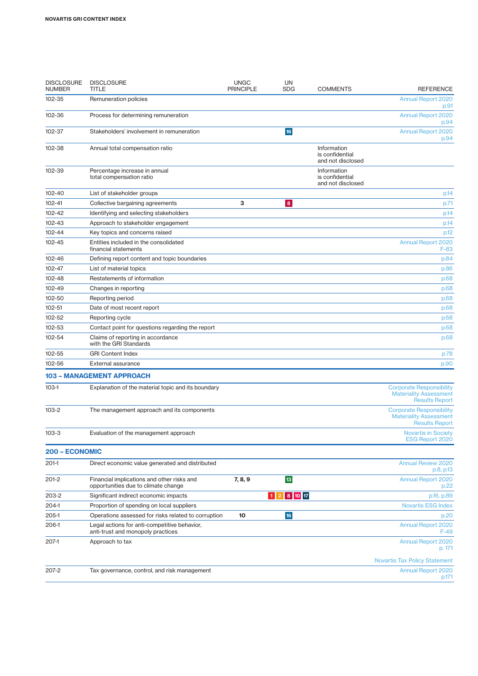| <b>DISCLOSURE</b><br><b>NUMBER</b> | <b>DISCLOSURE</b><br>TITLE                                                        | <b>UNGC</b><br><b>PRINCIPLE</b> | <b>UN</b><br><b>SDG</b> | <b>COMMENTS</b>                                     | <b>REFERENCE</b>                                                                          |
|------------------------------------|-----------------------------------------------------------------------------------|---------------------------------|-------------------------|-----------------------------------------------------|-------------------------------------------------------------------------------------------|
| 102-35                             | Remuneration policies                                                             |                                 |                         |                                                     | <b>Annual Report 2020</b><br>p.91                                                         |
| 102-36                             | Process for determining remuneration                                              |                                 |                         |                                                     | <b>Annual Report 2020</b><br>p.94                                                         |
| 102-37                             | Stakeholders' involvement in remuneration                                         |                                 | 16                      |                                                     | <b>Annual Report 2020</b><br>p.94                                                         |
| 102-38                             | Annual total compensation ratio                                                   |                                 |                         | Information<br>is confidential<br>and not disclosed |                                                                                           |
| 102-39                             | Percentage increase in annual<br>total compensation ratio                         |                                 |                         | Information<br>is confidential<br>and not disclosed |                                                                                           |
| 102-40                             | List of stakeholder groups                                                        |                                 |                         |                                                     | p.14                                                                                      |
| 102-41                             | Collective bargaining agreements                                                  | з                               | $\mathbf{8}$            |                                                     | p.71                                                                                      |
| 102-42                             | Identifying and selecting stakeholders                                            |                                 |                         |                                                     | p.14                                                                                      |
| 102-43                             | Approach to stakeholder engagement                                                |                                 |                         |                                                     | p.14                                                                                      |
| 102-44                             | Key topics and concerns raised                                                    |                                 |                         |                                                     | p.12                                                                                      |
| 102-45                             | Entities included in the consolidated<br>financial statements                     |                                 |                         |                                                     | <b>Annual Report 2020</b><br>$F-83$                                                       |
| 102-46                             | Defining report content and topic boundaries                                      |                                 |                         |                                                     | p.84                                                                                      |
| 102-47                             | List of material topics                                                           |                                 |                         |                                                     | p.86                                                                                      |
| 102-48                             | Restatements of information                                                       |                                 |                         |                                                     | p.68                                                                                      |
| 102-49                             | Changes in reporting                                                              |                                 |                         |                                                     | p.68                                                                                      |
| 102-50                             | Reporting period                                                                  |                                 |                         |                                                     | p.68                                                                                      |
| 102-51                             | Date of most recent report                                                        |                                 |                         |                                                     | p.68                                                                                      |
| 102-52                             | Reporting cycle                                                                   |                                 |                         |                                                     | p.68                                                                                      |
| 102-53                             | Contact point for questions regarding the report                                  |                                 |                         |                                                     | p.68                                                                                      |
| 102-54                             | Claims of reporting in accordance<br>with the GRI Standards                       |                                 |                         |                                                     | p.68                                                                                      |
| 102-55                             | <b>GRI Content Index</b>                                                          |                                 |                         |                                                     | p.78                                                                                      |
| 102-56                             | External assurance                                                                |                                 |                         |                                                     | p.90                                                                                      |
|                                    | <b>103 - MANAGEMENT APPROACH</b>                                                  |                                 |                         |                                                     |                                                                                           |
| $103-1$                            | Explanation of the material topic and its boundary                                |                                 |                         |                                                     | <b>Corporate Responsibility</b><br><b>Materiality Assessment</b><br><b>Results Report</b> |
| $103 - 2$                          | The management approach and its components                                        |                                 |                         |                                                     | <b>Corporate Responsibility</b><br><b>Materiality Assessment</b><br><b>Results Report</b> |
| $103 - 3$                          | Evaluation of the management approach                                             |                                 |                         |                                                     | <b>Novartis in Society</b><br>ESG Report 2020                                             |
| 200 - ECONOMIC                     |                                                                                   |                                 |                         |                                                     |                                                                                           |
| 201-1                              | Direct economic value generated and distributed                                   |                                 |                         |                                                     | <b>Annual Review 2020</b><br>p.8, p.13                                                    |
| 201-2                              | Financial implications and other risks and<br>opportunities due to climate change | 7, 8, 9                         | 13                      |                                                     | <b>Annual Report 2020</b><br>p.22                                                         |
| 203-2                              | Significant indirect economic impacts                                             |                                 | 8 10 17<br>$\mathbf{1}$ |                                                     | p.16, p.89                                                                                |
| 204-1                              | Proportion of spending on local suppliers                                         |                                 |                         |                                                     | <b>Novartis ESG Index</b>                                                                 |
| 205-1                              | Operations assessed for risks related to corruption                               | 10                              | 16                      |                                                     | p.20                                                                                      |
| 206-1                              | Legal actions for anti-competitive behavior,<br>anti-trust and monopoly practices |                                 |                         |                                                     | <b>Annual Report 2020</b><br>$F-49$                                                       |
| 207-1                              | Approach to tax                                                                   |                                 |                         |                                                     | <b>Annual Report 2020</b><br>p. 171                                                       |
|                                    |                                                                                   |                                 |                         |                                                     | <b>Novartis Tax Policy Statement</b>                                                      |
| 207-2                              | Tax governance, control, and risk management                                      |                                 |                         |                                                     | <b>Annual Report 2020</b><br>p.171                                                        |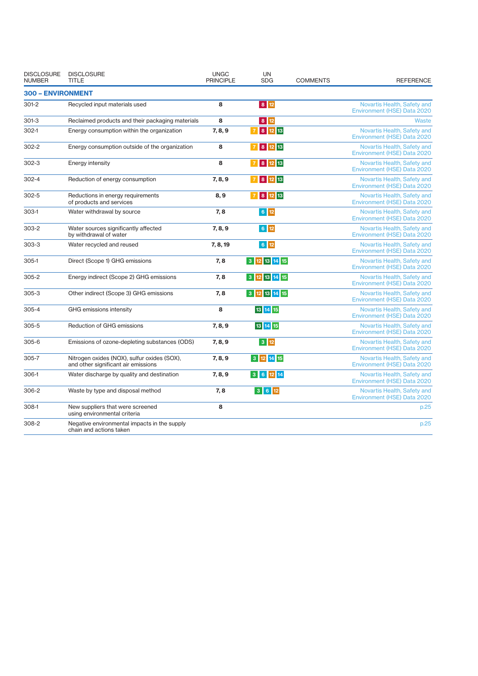| <b>DISCLOSURE</b><br><b>NUMBER</b> | <b>DISCLOSURE</b><br>TITLE                                                         | <b>UNGC</b><br><b>PRINCIPLE</b> | UN<br><b>SDG</b>                                                | <b>COMMENTS</b> | <b>REFERENCE</b>                                           |
|------------------------------------|------------------------------------------------------------------------------------|---------------------------------|-----------------------------------------------------------------|-----------------|------------------------------------------------------------|
| <b>300 - ENVIRONMENT</b>           |                                                                                    |                                 |                                                                 |                 |                                                            |
| $301 - 2$                          | Recycled input materials used                                                      | 8                               | 8 12                                                            |                 | Novartis Health, Safety and<br>Environment (HSE) Data 2020 |
| $301 - 3$                          | Reclaimed products and their packaging materials                                   | 8                               | $\begin{array}{ c c c }\n\hline\n8 & 12 \\ \hline\n\end{array}$ |                 | Waste                                                      |
| $302 - 1$                          | Energy consumption within the organization                                         | 7, 8, 9                         | 7 8 12 13                                                       |                 | Novartis Health, Safety and<br>Environment (HSE) Data 2020 |
| $302 - 2$                          | Energy consumption outside of the organization                                     | 8                               | 7 8 12 13                                                       |                 | Novartis Health, Safety and<br>Environment (HSE) Data 2020 |
| $302 - 3$                          | Energy intensity                                                                   | 8                               | 7 8 12 13                                                       |                 | Novartis Health, Safety and<br>Environment (HSE) Data 2020 |
| $302 - 4$                          | Reduction of energy consumption                                                    | 7, 8, 9                         | 7 8 12 13                                                       |                 | Novartis Health, Safety and<br>Environment (HSE) Data 2020 |
| $302 - 5$                          | Reductions in energy requirements<br>of products and services                      | 8,9                             | 7 8 12 13                                                       |                 | Novartis Health, Safety and<br>Environment (HSE) Data 2020 |
| $303-1$                            | Water withdrawal by source                                                         | 7, 8                            | $6 \overline{12}$                                               |                 | Novartis Health, Safety and<br>Environment (HSE) Data 2020 |
| $303 - 2$                          | Water sources significantly affected<br>by withdrawal of water                     | 7, 8, 9                         | $6 \mid 12$                                                     |                 | Novartis Health, Safety and<br>Environment (HSE) Data 2020 |
| $303 - 3$                          | Water recycled and reused                                                          | 7, 8, 19                        | 6 12                                                            |                 | Novartis Health, Safety and<br>Environment (HSE) Data 2020 |
| $305 - 1$                          | Direct (Scope 1) GHG emissions                                                     | 7, 8                            | 3 12 13 14 15                                                   |                 | Novartis Health, Safety and<br>Environment (HSE) Data 2020 |
| $305 - 2$                          | Energy indirect (Scope 2) GHG emissions                                            | 7,8                             | 3 12 13 14 15                                                   |                 | Novartis Health, Safety and<br>Environment (HSE) Data 2020 |
| $305 - 3$                          | Other indirect (Scope 3) GHG emissions                                             | 7,8                             | 3 12 13 14 15                                                   |                 | Novartis Health, Safety and<br>Environment (HSE) Data 2020 |
| $305 - 4$                          | GHG emissions intensity                                                            | 8                               | 13 14 15                                                        |                 | Novartis Health, Safety and<br>Environment (HSE) Data 2020 |
| $305 - 5$                          | <b>Reduction of GHG emissions</b>                                                  | 7, 8, 9                         | 13 14 15                                                        |                 | Novartis Health, Safety and<br>Environment (HSE) Data 2020 |
| $305 - 6$                          | Emissions of ozone-depleting substances (ODS)                                      | 7, 8, 9                         | $3 \mid 12$                                                     |                 | Novartis Health, Safety and<br>Environment (HSE) Data 2020 |
| 305-7                              | Nitrogen oxides (NOX), sulfur oxides (SOX),<br>and other significant air emissions | 7, 8, 9                         | 3 12 14 15                                                      |                 | Novartis Health, Safety and<br>Environment (HSE) Data 2020 |
| 306-1                              | Water discharge by quality and destination                                         | 7, 8, 9                         | 3 6 12 14                                                       |                 | Novartis Health, Safety and<br>Environment (HSE) Data 2020 |
| 306-2                              | Waste by type and disposal method                                                  | 7, 8                            | $3 \quad 6 \quad 12$                                            |                 | Novartis Health, Safety and<br>Environment (HSE) Data 2020 |
| 308-1                              | New suppliers that were screened<br>using environmental criteria                   | 8                               |                                                                 |                 | p.25                                                       |
| 308-2                              | Negative environmental impacts in the supply<br>chain and actions taken            |                                 |                                                                 |                 | p.25                                                       |